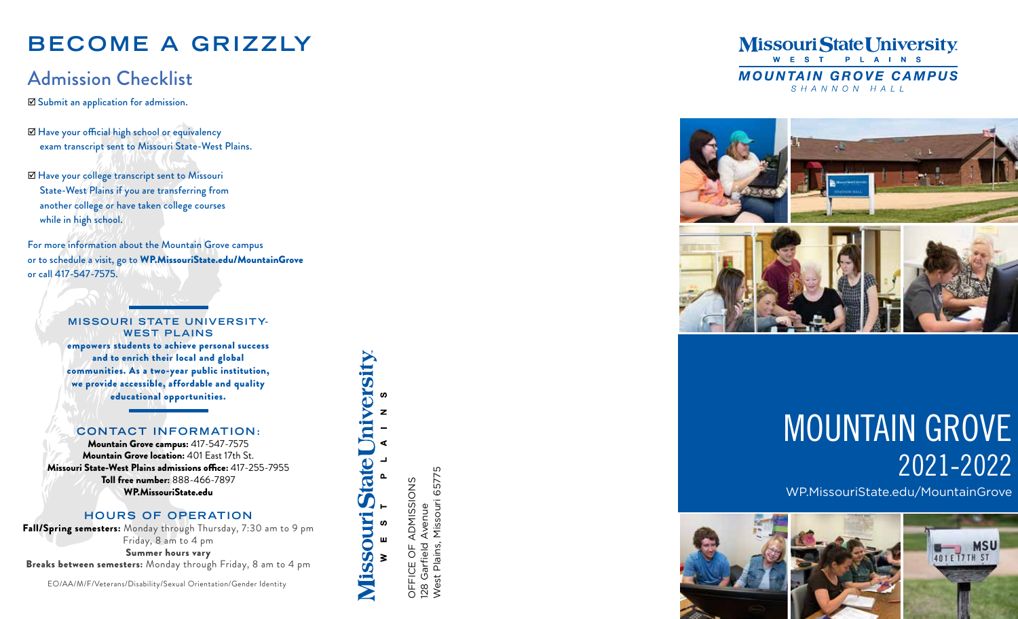# **BECOME A GRIZZLY**

# Admission Checklist

 $\nabla$  Submit an application for admission.

- þ Have your official high school or equivalency exam transcript sent to Missouri State-West Plains.
- þ Have your college transcript sent to Missouri State-West Plains if you are transferring from another college or have taken college courses while in high school.

For more information about the Mountain Grove campus or to schedule a visit, go to WP.MissouriState.edu/MountainGrove or call 417-547-7575.

#### **MISSOURI STATE UNIVERSITY-WEST PLAINS**

empowers students to achieve personal success and to enrich their local and global communities. As a two-year public institution, we provide accessible, affordable and quality educational opportunities.

#### **CONTACT INFORMATION:**

Mountain Grove campus: 417-547-7575 Mountain Grove location: 401 East 17th St. Missouri State-West Plains admissions office: 417-255-7955 Toll free number: 888-466-7897 WP.MissouriState.edu

#### **HOURS OF OPERATION**

Fall/Spring semesters: Monday through Thursday, 7:30 am to 9 pm Friday, 8 am to 4 pm Summer hours vary Breaks between semesters: Monday through Friday, 8 am to 4 pm

EO/AA/M/F/Veterans/Disability/Sexual Orientation/Gender Identity

**Missouri State University** ADMISSIONS OFFICE OF ADMISSIONS ဖာ  $\overline{\sigma}$  $\geq$ Ш OFFIC

West Plains, Missouri 65775 West Plains, Missouri 65775 Avenue 128 Garfield Avenue Garfield 28

#### **Missouri State University** WEST PLAINS **MOUNTAIN GROVE CAMPUS** SHANNON HALL



# MOUNTAIN GROVE 2021-2022

WP.MissouriState.edu/MountainGrove